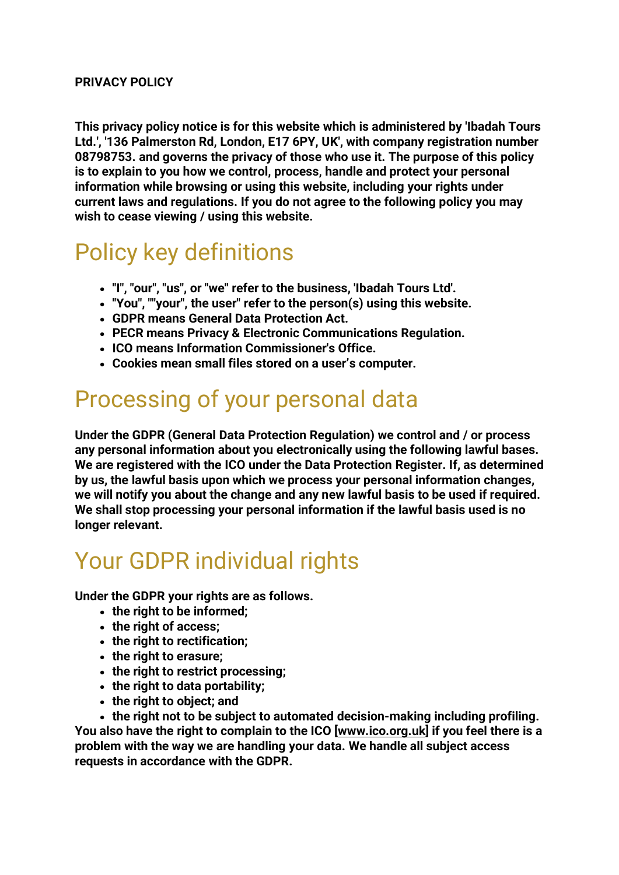#### **PRIVACY POLICY**

**This privacy policy notice is for this website which is administered by 'Ibadah Tours Ltd.', '136 Palmerston Rd, London, E17 6PY, UK', with company registration number 08798753. and governs the privacy of those who use it. The purpose of this policy is to explain to you how we control, process, handle and protect your personal information while browsing or using this website, including your rights under current laws and regulations. If you do not agree to the following policy you may wish to cease viewing / using this website.**

#### Policy key definitions

- **"I", "our", "us", or "we" refer to the business, 'Ibadah Tours Ltd'.**
- **"You", ""your", the user" refer to the person(s) using this website.**
- **GDPR means General Data Protection Act.**
- **PECR means Privacy & Electronic Communications Regulation.**
- **ICO means Information Commissioner's Office.**
- **Cookies mean small files stored on a user's computer.**

## Processing of your personal data

**Under the GDPR (General Data Protection Regulation) we control and / or process any personal information about you electronically using the following lawful bases. We are registered with the ICO under the Data Protection Register. If, as determined by us, the lawful basis upon which we process your personal information changes, we will notify you about the change and any new lawful basis to be used if required. We shall stop processing your personal information if the lawful basis used is no longer relevant.**

## Your GDPR individual rights

**Under the GDPR your rights are as follows.**

- **the right to be informed;**
- **the right of access;**
- **the right to rectification;**
- **the right to erasure;**
- **the right to restrict processing;**
- **the right to data portability;**
- **the right to object; and**

• **the right not to be subject to automated decision-making including profiling. You also have the right to complain to the ICO [\[www.ico.org.uk\]](http://www.ico.org.uk/) if you feel there is a problem with the way we are handling your data. We handle all subject access requests in accordance with the GDPR.**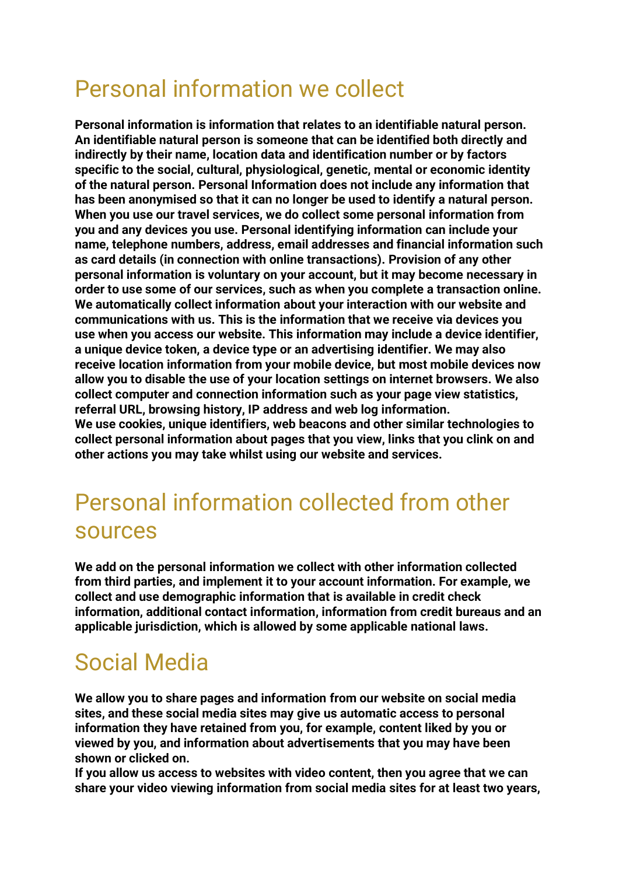# Personal information we collect

**Personal information is information that relates to an identifiable natural person. An identifiable natural person is someone that can be identified both directly and indirectly by their name, location data and identification number or by factors specific to the social, cultural, physiological, genetic, mental or economic identity of the natural person. Personal Information does not include any information that has been anonymised so that it can no longer be used to identify a natural person. When you use our travel services, we do collect some personal information from you and any devices you use. Personal identifying information can include your name, telephone numbers, address, email addresses and financial information such as card details (in connection with online transactions). Provision of any other personal information is voluntary on your account, but it may become necessary in order to use some of our services, such as when you complete a transaction online. We automatically collect information about your interaction with our website and communications with us. This is the information that we receive via devices you use when you access our website. This information may include a device identifier, a unique device token, a device type or an advertising identifier. We may also receive location information from your mobile device, but most mobile devices now allow you to disable the use of your location settings on internet browsers. We also collect computer and connection information such as your page view statistics, referral URL, browsing history, IP address and web log information. We use cookies, unique identifiers, web beacons and other similar technologies to collect personal information about pages that you view, links that you clink on and other actions you may take whilst using our website and services.**

## Personal information collected from other sources

**We add on the personal information we collect with other information collected from third parties, and implement it to your account information. For example, we collect and use demographic information that is available in credit check information, additional contact information, information from credit bureaus and an applicable jurisdiction, which is allowed by some applicable national laws.**

# Social Media

**We allow you to share pages and information from our website on social media sites, and these social media sites may give us automatic access to personal information they have retained from you, for example, content liked by you or viewed by you, and information about advertisements that you may have been shown or clicked on.**

**If you allow us access to websites with video content, then you agree that we can share your video viewing information from social media sites for at least two years,**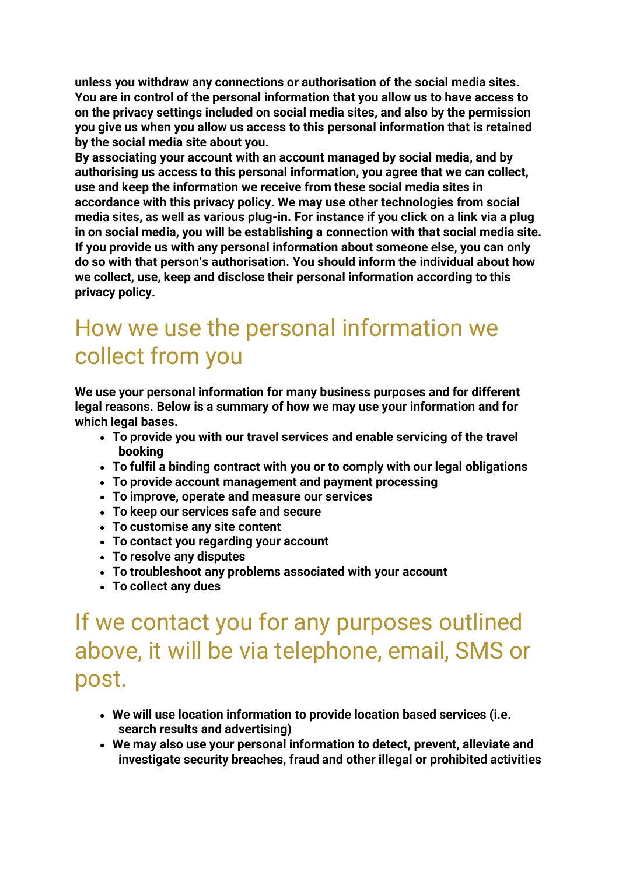**unless you withdraw any connections or authorisation of the social media sites. You are in control of the personal information that you allow us to have access to on the privacy settings included on social media sites, and also by the permission you give us when you allow us access to this personal information that is retained by the social media site about you.**

**By associating your account with an account managed by social media, and by authorising us access to this personal information, you agree that we can collect, use and keep the information we receive from these social media sites in accordance with this privacy policy. We may use other technologies from social media sites, as well as various plug-in. For instance if you click on a link via a plug in on social media, you will be establishing a connection with that social media site. If you provide us with any personal information about someone else, you can only do so with that person's authorisation. You should inform the individual about how we collect, use, keep and disclose their personal information according to this privacy policy.**

## How we use the personal information we collect from you

**We use your personal information for many business purposes and for different legal reasons. Below is a summary of how we may use your information and for which legal bases.**

- **To provide you with our travel services and enable servicing of the travel booking**
- **To fulfil a binding contract with you or to comply with our legal obligations**
- **To provide account management and payment processing**
- **To improve, operate and measure our services**
- **To keep our services safe and secure**
- **To customise any site content**
- **To contact you regarding your account**
- **To resolve any disputes**
- **To troubleshoot any problems associated with your account**
- **To collect any dues**

## If we contact you for any purposes outlined above, it will be via telephone, email, SMS or post.

- **We will use location information to provide location based services (i.e. search results and advertising)**
- **We may also use your personal information to detect, prevent, alleviate and investigate security breaches, fraud and other illegal or prohibited activities**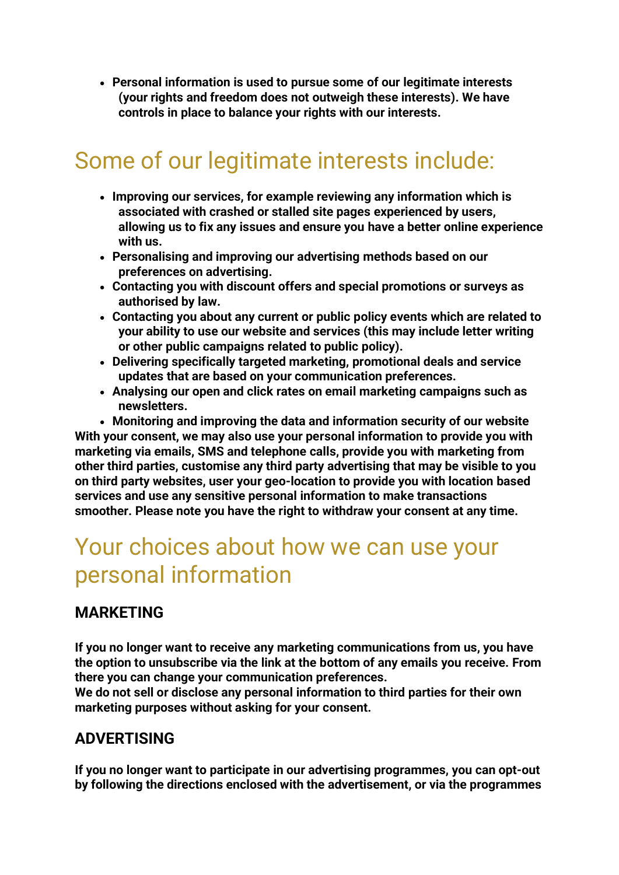• **Personal information is used to pursue some of our legitimate interests (your rights and freedom does not outweigh these interests). We have controls in place to balance your rights with our interests.**

# Some of our legitimate interests include:

- **Improving our services, for example reviewing any information which is associated with crashed or stalled site pages experienced by users, allowing us to fix any issues and ensure you have a better online experience with us.**
- **Personalising and improving our advertising methods based on our preferences on advertising.**
- **Contacting you with discount offers and special promotions or surveys as authorised by law.**
- **Contacting you about any current or public policy events which are related to your ability to use our website and services (this may include letter writing or other public campaigns related to public policy).**
- **Delivering specifically targeted marketing, promotional deals and service updates that are based on your communication preferences.**
- **Analysing our open and click rates on email marketing campaigns such as newsletters.**

• **Monitoring and improving the data and information security of our website With your consent, we may also use your personal information to provide you with marketing via emails, SMS and telephone calls, provide you with marketing from other third parties, customise any third party advertising that may be visible to you on third party websites, user your geo-location to provide you with location based services and use any sensitive personal information to make transactions smoother. Please note you have the right to withdraw your consent at any time.**

## Your choices about how we can use your personal information

#### **MARKETING**

**If you no longer want to receive any marketing communications from us, you have the option to unsubscribe via the link at the bottom of any emails you receive. From there you can change your communication preferences.**

**We do not sell or disclose any personal information to third parties for their own marketing purposes without asking for your consent.**

#### **ADVERTISING**

**If you no longer want to participate in our advertising programmes, you can opt-out by following the directions enclosed with the advertisement, or via the programmes**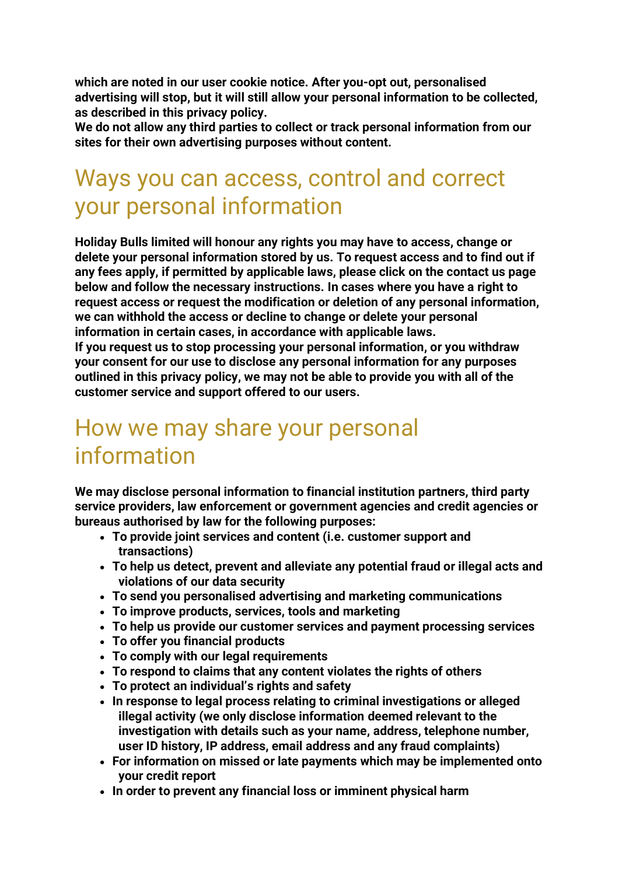**which are noted in our user cookie notice. After you-opt out, personalised advertising will stop, but it will still allow your personal information to be collected, as described in this privacy policy.**

**We do not allow any third parties to collect or track personal information from our sites for their own advertising purposes without content.**

## Ways you can access, control and correct your personal information

**Holiday Bulls limited will honour any rights you may have to access, change or delete your personal information stored by us. To request access and to find out if any fees apply, if permitted by applicable laws, please click on the contact us page below and follow the necessary instructions. In cases where you have a right to request access or request the modification or deletion of any personal information, we can withhold the access or decline to change or delete your personal information in certain cases, in accordance with applicable laws. If you request us to stop processing your personal information, or you withdraw your consent for our use to disclose any personal information for any purposes outlined in this privacy policy, we may not be able to provide you with all of the customer service and support offered to our users.**

## How we may share your personal information

**We may disclose personal information to financial institution partners, third party service providers, law enforcement or government agencies and credit agencies or bureaus authorised by law for the following purposes:**

- **To provide joint services and content (i.e. customer support and transactions)**
- **To help us detect, prevent and alleviate any potential fraud or illegal acts and violations of our data security**
- **To send you personalised advertising and marketing communications**
- **To improve products, services, tools and marketing**
- **To help us provide our customer services and payment processing services**
- **To offer you financial products**
- **To comply with our legal requirements**
- **To respond to claims that any content violates the rights of others**
- **To protect an individual's rights and safety**
- **In response to legal process relating to criminal investigations or alleged illegal activity (we only disclose information deemed relevant to the investigation with details such as your name, address, telephone number, user ID history, IP address, email address and any fraud complaints)**
- **For information on missed or late payments which may be implemented onto your credit report**
- **In order to prevent any financial loss or imminent physical harm**